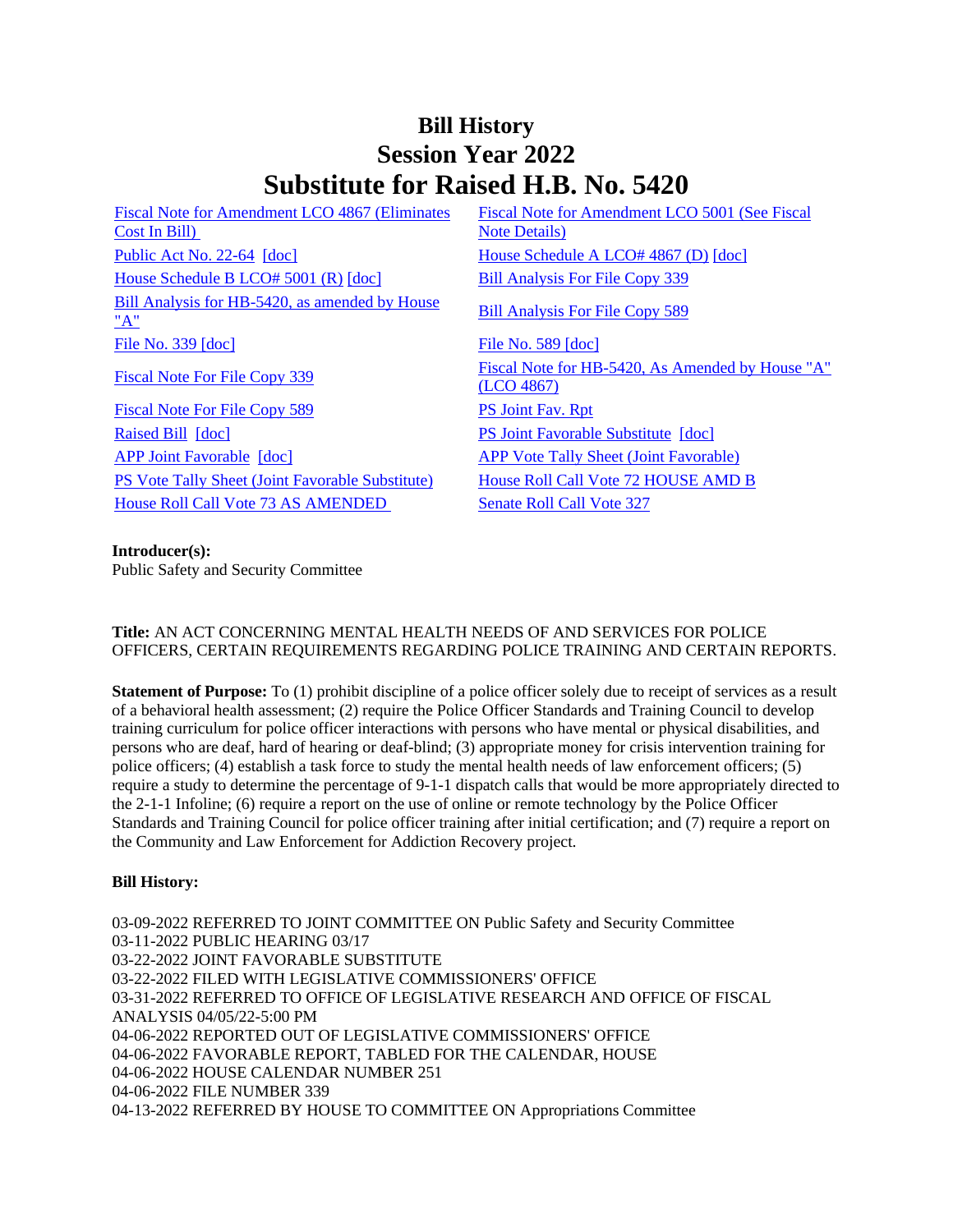# **Bill History Session Year 2022 Substitute for Raised H.B. No. 5420**

[Fiscal Note for Amendment LCO 4867 \(Eliminates](/2022/fna/pdf/2022HB-05420-R00LCO04867-FNA.pdf)  [Cost In Bill\)](/2022/fna/pdf/2022HB-05420-R00LCO04867-FNA.pdf)  [Public Act No. 22-64](/2022/ACT/PA/PDF/2022PA-00064-R00HB-05420-PA.PDF) [\[doc\]](https://search.cga.state.ct.us/dl2022/AMd/DOC/2022HB-05420-R00HA-AMD.Docx) [House Schedule A LCO# 4867 \(D\)](/2022/amd/H/pdf/2022HB-05420-R00HA-AMD.pdf) [doc] [House Schedule B LCO# 5001 \(R\)](/2022/amd/H/pdf/2022HB-05420-R00HB-AMD.pdf) [\[doc\]](https://search.cga.state.ct.us/dl2022/AMd/DOC/2022HB-05420-R00HB-AMD.Docx) [Bill Analysis For File Copy 339](/2022/BA/PDF/2022HB-05420-R000339-BA.PDF) [Bill Analysis for HB-5420, as amended by House](/2022/BA/PDF/2022HB-05420-R01-BA.PDF)  Bill Analysis for HB-5420, as amended by House<br>["A"](/2022/BA/PDF/2022HB-05420-R01-BA.PDF) [Bill Analysis For File Copy 589](/2022/BA/PDF/2022HB-05420-R010589-BA.PDF) [File No. 339](/2022/FC/PDF/2022HB-05420-R000339-FC.PDF) [\[doc\]](https://search.cga.state.ct.us/dl2022/fc/doc/2022HB-05420-R000589-FC.docx) [File No. 589](/2022/FC/PDF/2022HB-05420-R000589-FC.PDF) [doc] [Fiscal Note For File Copy 589](/2022/FN/PDF/2022HB-05420-R010589-FN.PDF) [PS Joint Fav. Rpt](/2022/JFR/H/PDF/2022HB-05420-R00PS-JFR.PDF) [Raised Bill](/2022/TOB/H/PDF/2022HB-05420-R00-HB.PDF) [\[doc\]](https://search.cga.state.ct.us/dl2022/TOB/DOC/2022HB-05420-R01-HB.DOCX) **[PS Joint Favorable Substitute](/2022/TOB/H/PDF/2022HB-05420-R01-HB.PDF) [doc] PS PS Joint Favorable Substitute [doc]** [APP Joint Favorable](/2022/TOB/H/PDF/2022HB-05420-R02-HB.PDF) [\[doc\]](https://search.cga.state.ct.us/dl2022/TOB/DOC/2022HB-05420-R02-HB.DOCX) [APP Vote Tally Sheet \(Joint Favorable\)](/2022/TS/H/PDF/2022HB-05420-R00APP-CV65-TS.PDF) [PS Vote Tally Sheet \(Joint Favorable Substitute\)](/2022/TS/H/PDF/2022HB-05420-R00PS-CV71-TS.PDF) [House Roll Call Vote 72 HOUSE AMD B](/2022/VOTE/H/PDF/2022HV-00072-R00HB05420-HV.PDF) [House Roll Call Vote 73 AS AMENDED](/2022/VOTE/H/PDF/2022HV-00073-R00HB05420-HV.PDF) Senate Roll Call Vote 327

[Fiscal Note for Amendment LCO 5001 \(See Fiscal](/2022/fna/pdf/2022HB-05420-R00LCO05001-FNA.PDF)  [Note Details\)](/2022/fna/pdf/2022HB-05420-R00LCO05001-FNA.PDF)  [Fiscal Note For File Copy 339](/2022/FN/PDF/2022HB-05420-R000339-FN.PDF)<br>  $\frac{339}{(1 \text{ CO } 4867)}$ [\(LCO 4867\)](/2022/FN/PDF/2022HB-05420-R01-FN.PDF)

### **Introducer(s):**

Public Safety and Security Committee

## **Title:** AN ACT CONCERNING MENTAL HEALTH NEEDS OF AND SERVICES FOR POLICE OFFICERS, CERTAIN REQUIREMENTS REGARDING POLICE TRAINING AND CERTAIN REPORTS.

**Statement of Purpose:** To (1) prohibit discipline of a police officer solely due to receipt of services as a result of a behavioral health assessment; (2) require the Police Officer Standards and Training Council to develop training curriculum for police officer interactions with persons who have mental or physical disabilities, and persons who are deaf, hard of hearing or deaf-blind; (3) appropriate money for crisis intervention training for police officers; (4) establish a task force to study the mental health needs of law enforcement officers; (5) require a study to determine the percentage of 9-1-1 dispatch calls that would be more appropriately directed to the 2-1-1 Infoline; (6) require a report on the use of online or remote technology by the Police Officer Standards and Training Council for police officer training after initial certification; and (7) require a report on the Community and Law Enforcement for Addiction Recovery project.

### **Bill History:**

03-09-2022 REFERRED TO JOINT COMMITTEE ON Public Safety and Security Committee 03-11-2022 PUBLIC HEARING 03/17 03-22-2022 JOINT FAVORABLE SUBSTITUTE 03-22-2022 FILED WITH LEGISLATIVE COMMISSIONERS' OFFICE 03-31-2022 REFERRED TO OFFICE OF LEGISLATIVE RESEARCH AND OFFICE OF FISCAL ANALYSIS 04/05/22-5:00 PM 04-06-2022 REPORTED OUT OF LEGISLATIVE COMMISSIONERS' OFFICE 04-06-2022 FAVORABLE REPORT, TABLED FOR THE CALENDAR, HOUSE 04-06-2022 HOUSE CALENDAR NUMBER 251 04-06-2022 FILE NUMBER 339 04-13-2022 REFERRED BY HOUSE TO COMMITTEE ON Appropriations Committee